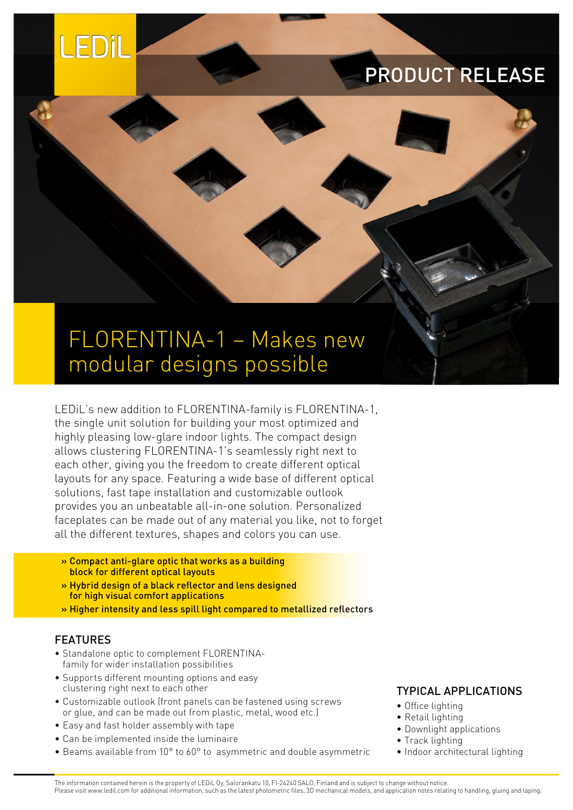

## PRODUCT RELEASE

# FLORENTINA-1 – Makes new modular designs possible

LEDiL's new addition to FLORENTINA-family is FLORENTINA-1, the single unit solution for building your most optimized and highly pleasing low-glare indoor lights. The compact design allows clustering FLORENTINA-1's seamlessly right next to each other, giving you the freedom to create different optical layouts for any space. Featuring a wide base of different optical solutions, fast tape installation and customizable outlook provides you an unbeatable all-in-one solution. Personalized faceplates can be made out of any material you like, not to forget all the different textures, shapes and colors you can use.

- » Compact anti-glare optic that works as a building block for different optical layouts
- » Hybrid design of a black reflector and lens designed for high visual comfort applications
- » Higher intensity and less spill light compared to metallized reflectors

#### FEATURES

- Standalone optic to complement FLORENTINAfamily for wider installation possibilities
- Supports different mounting options and easy clustering right next to each other
- Customizable outlook (front panels can be fastened using screws or glue, and can be made out from plastic, metal, wood etc.)
- Easy and fast holder assembly with tape
- Can be implemented inside the luminaire
- Beams available from 10° to 60° to asymmetric and double asymmetric

### TYPICAL APPLICATIONS

- Office lighting
- Retail lighting
- Downlight applications
- Track lighting
- Indoor architectural lighting

The information contained herein is the property of LEDiL Oy, Salorankatu 10, FI-24240 SALO, Finland and is subject to change without notice. Please visit www.ledil.com for additional information, such as the latest photometric files, 3D mechanical models, and application notes relating to handling, gluing and taping.